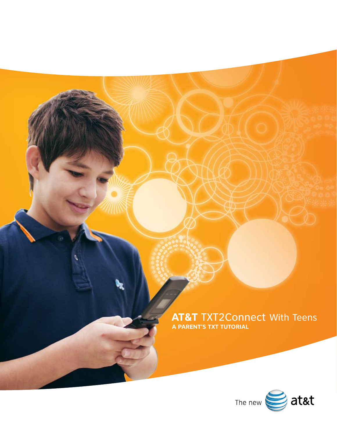**AT&T** TXT2Connect With Teens **A PARENT'S TXT TUTORIAL**

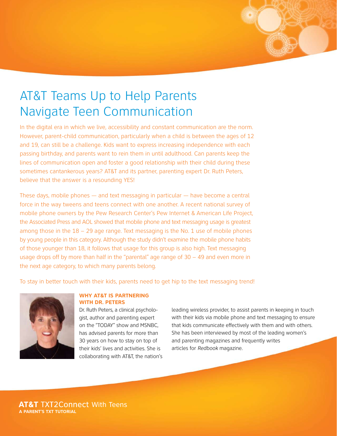# AT&T Teams Up to Help Parents Navigate Teen Communication

In the digital era in which we live, accessibility and constant communication are the norm. However, parent-child communication, particularly when a child is between the ages of 12 and 19, can still be a challenge. Kids want to express increasing independence with each passing birthday, and parents want to rein them in until adulthood. Can parents keep the lines of communication open and foster a good relationship with their child during these sometimes cantankerous years? AT&T and its partner, parenting expert Dr. Ruth Peters, believe that the answer is a resounding YES!

These days, mobile phones — and text messaging in particular — have become a central force in the way tweens and teens connect with one another. A recent national survey of mobile phone owners by the Pew Research Center's Pew Internet & American Life Project, the Associated Press and AOL showed that mobile phone and text messaging usage is greatest among those in the  $18 - 29$  age range. Text messaging is the No. 1 use of mobile phones by young people in this category. Although the study didn't examine the mobile phone habits of those younger than 18, it follows that usage for this group is also high. Text messaging usage drops off by more than half in the "parental" age range of 30 – 49 and even more in the next age category, to which many parents belong.

To stay in better touch with their kids, parents need to get hip to the text messaging trend!



## **WHY AT&T IS PARTNERING WITH DR. PETERS**

Dr. Ruth Peters, a clinical psychologist, author and parenting expert on the "TODAY" show and MSNBC, has advised parents for more than 30 years on how to stay on top of their kids' lives and activities. She is collaborating with AT&T, the nation's

leading wireless provider, to assist parents in keeping in touch with their kids via mobile phone and text messaging to ensure that kids communicate effectively with them and with others. She has been interviewed by most of the leading women's and parenting magazines and frequently writes articles for *Redbook* magazine.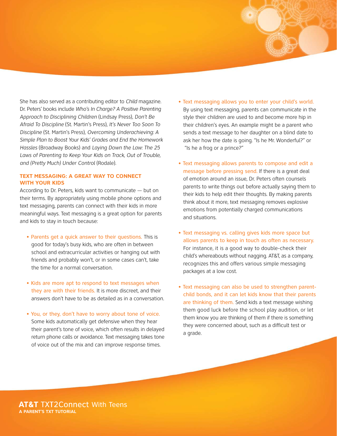She has also served as a contributing editor to *Child* magazine. Dr. Peters' books include *Who's In Charge? A Positive Parenting Approach to Disciplining Children* (Lindsay Press), *Don't Be Afraid To Discipline* (St. Martin's Press), *It's Never Too Soon To Discipline* (St. Martin's Press), *Overcoming Underachieving: A Simple Plan to Boost Your Kids' Grades and End the Homework Hassles* (Broadway Books) and *Laying Down the Law: The 25 Laws of Parenting to Keep Your Kids on Track, Out of Trouble, and (Pretty Much) Under Control* (Rodale).

# **TEXT MESSAGING: A GREAT WAY TO CONNECT WITH YOUR KIDS**

According to Dr. Peters, kids want to communicate — but on their terms. By appropriately using mobile phone options and text messaging, parents can connect with their kids in more meaningful ways. Text messaging is a great option for parents and kids to stay in touch because:

- Parents get a quick answer to their questions. This is good for today's busy kids, who are often in between school and extracurricular activities or hanging out with friends and probably won't, or in some cases can't, take the time for a normal conversation.
- Kids are more apt to respond to text messages when they are with their friends. It is more discreet, and their answers don't have to be as detailed as in a conversation.
- You, or they, don't have to worry about tone of voice. Some kids automatically get defensive when they hear their parent's tone of voice, which often results in delayed return phone calls or avoidance. Text messaging takes tone of voice out of the mix and can improve response times.
- Text messaging allows you to enter your child's world. By using text messaging, parents can communicate in the style their children are used to and become more hip in their children's eyes. An example might be a parent who sends a text message to her daughter on a blind date to ask her how the date is going. "Is he Mr. Wonderful?" or "Is he a frog or a prince?"
- Text messaging allows parents to compose and edit a message before pressing send. If there is a great deal of emotion around an issue, Dr. Peters often counsels parents to write things out before actually saying them to their kids to help edit their thoughts. By making parents think about it more, text messaging removes explosive emotions from potentially charged communications and situations.
- Text messaging vs. calling gives kids more space but allows parents to keep in touch as often as necessary. For instance, it is a good way to double-check their child's whereabouts without nagging. AT&T, as a company, recognizes this and offers various simple messaging packages at a low cost.
- Text messaging can also be used to strengthen parentchild bonds, and it can let kids know that their parents are thinking of them. Send kids a text message wishing them good luck before the school play audition, or let them know you are thinking of them if there is something they were concerned about, such as a difficult test or a grade.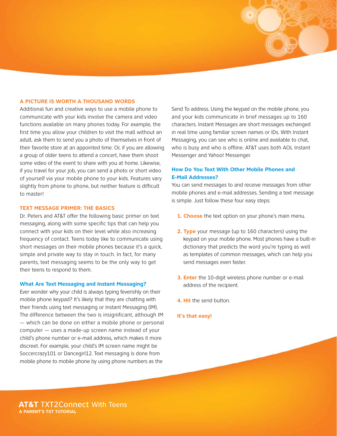## **A PICTURE IS WORTH A THOUSAND WORDS**

Additional fun and creative ways to use a mobile phone to communicate with your kids involve the camera and video functions available on many phones today. For example, the first time you allow your children to visit the mall without an adult, ask them to send you a photo of themselves in front of their favorite store at an appointed time. Or, if you are allowing a group of older teens to attend a concert, have them shoot some video of the event to share with you at home. Likewise, if you travel for your job, you can send a photo or short video of yourself via your mobile phone to your kids. Features vary slightly from phone to phone, but neither feature is difficult to master!

## **TEXT MESSAGE PRIMER: THE BASICS**

Dr. Peters and AT&T offer the following basic primer on text messaging, along with some specific tips that can help you connect with your kids on their level while also increasing frequency of contact. Teens today like to communicate using short messages on their mobile phones because it's a quick, simple and private way to stay in touch. In fact, for many parents, text messaging seems to be the only way to get their teens to respond to them.

#### **What Are Text Messaging and Instant Messaging?**

Ever wonder why your child is always typing feverishly on their mobile phone keypad? It's likely that they are chatting with their friends using text messaging or Instant Messaging (IM). The difference between the two is insignificant, although IM — which can be done on either a mobile phone or personal computer — uses a made-up screen name instead of your child's phone number or e-mail address, which makes it more discreet. For example, your child's IM screen name might be Soccercrazy101 or Dancegirl12. Text messaging is done from mobile phone to mobile phone by using phone numbers as the

Send To address. Using the keypad on the mobile phone, you and your kids communicate in brief messages up to 160 characters. Instant Messages are short messages exchanged in real time using familiar screen names or IDs. With Instant Messaging, you can see who is online and available to chat, who is busy and who is offline. AT&T uses both AOL Instant Messenger and Yahoo! Messenger.

# **How Do You Text With Other Mobile Phones and E-Mail Addresses?**

You can send messages to and receive messages from other mobile phones and e-mail addresses. Sending a text message is simple. Just follow these four easy steps:

- **1. Choose** the text option on your phone's main menu.
- **2. Type** your message (up to 160 characters) using the keypad on your mobile phone. Most phones have a built-in dictionary that predicts the word you're typing as well as templates of common messages, which can help you send messages even faster.
- **3. Enter** the 10-digit wireless phone number or e-mail address of the recipient.
- **4. Hit** the send button.
- **It's that easy!**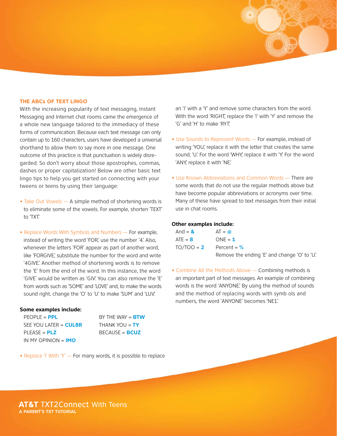## **THE ABCs OF TEXT LINGO**

With the increasing popularity of text messaging, Instant Messaging and Internet chat rooms came the emergence of a whole new language tailored to the immediacy of these forms of communication. Because each text message can only contain up to 160 characters, users have developed a universal shorthand to allow them to say more in one message. One outcome of this practice is that punctuation is widely disregarded. So don't worry about those apostrophes, commas, dashes or proper capitalization! Below are other basic text lingo tips to help you get started on connecting with your tweens or teens by using their language:

- Take Out Vowels A simple method of shortening words is to eliminate some of the vowels. For example, shorten 'TEXT' to 'TXT.'
- Replace Words With Symbols and Numbers For example, instead of writing the word 'FOR', use the number '4' Also, whenever the letters 'FOR' appear as part of another word, like 'FORGIVE' substitute the number for the word and write '4GIVE.' Another method of shortening words is to remove the 'E' from the end of the word. In this instance, the word 'GIVE' would be written as 'GIV.' You can also remove the 'E' from words such as 'SOME' and 'LOVE' and, to make the words sound right, change the 'O' to 'U' to make 'SUM' and 'LUV.'

## **Some examples include:**

PEOPLE = **PPL** BY THE WAY = **BTW** SEE YOU LATER = **CUL8R** THANK YOU = **TY** PLEASE = **PLZ** BECAUSE = **BCUZ** IN MY OPINION = **IMO**

• Replace 'I' With 'Y' — For many words, it is possible to replace

an 'I' with a 'Y' and remove some characters from the word. With the word 'RIGHT', replace the 'I' with 'Y' and remove the 'G' and 'H' to make 'RYT.'

- Use Sounds to Represent Words For example, instead of writing 'YOU', replace it with the letter that creates the same sound, 'U.' For the word 'WHY, replace it with 'Y.' For the word 'ANY', replace it with 'NE.'
- Use Known Abbreviations and Common Words There are some words that do not use the regular methods above but have become popular abbreviations or acronyms over time. Many of these have spread to text messages from their initial use in chat rooms.

# **Other examples include:**

| And = $\mathbf{\&}$ | $AT = \omega$                               |
|---------------------|---------------------------------------------|
| $ATE = 8$           | $ONE = 1$                                   |
| $TO/TOO = 2$        | Percent = $%$                               |
|                     | Remove the ending 'E' and change 'O' to 'U. |

• Combine All the Methods Above — Combining methods is an important part of text messages. An example of combining words is the word 'ANYONE.' By using the method of sounds and the method of replacing words with symb ols and numbers, the word 'ANYONE' becomes 'NE1.'